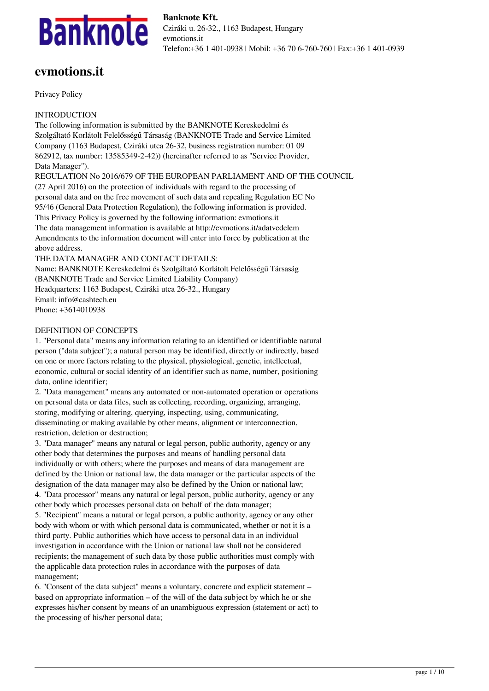

# **evmotions.it**

Privacy Policy

INTRODUCTION

The following information is submitted by the BANKNOTE Kereskedelmi és Szolgáltató Korlátolt Felelősségű Társaság (BANKNOTE Trade and Service Limited Company (1163 Budapest, Cziráki utca 26-32, business registration number: 01 09 862912, tax number: 13585349-2-42)) (hereinafter referred to as "Service Provider, Data Manager").

REGULATION No 2016/679 OF THE EUROPEAN PARLIAMENT AND OF THE COUNCIL (27 April 2016) on the protection of individuals with regard to the processing of personal data and on the free movement of such data and repealing Regulation EC No 95/46 (General Data Protection Regulation), the following information is provided. This Privacy Policy is governed by the following information: evmotions.it The data management information is available at http://evmotions.it/adatvedelem Amendments to the information document will enter into force by publication at the above address.

THE DATA MANAGER AND CONTACT DETAILS:

Name: BANKNOTE Kereskedelmi és Szolgáltató Korlátolt Felelősségű Társaság (BANKNOTE Trade and Service Limited Liability Company) Headquarters: 1163 Budapest, Cziráki utca 26-32., Hungary Email: info@cashtech.eu Phone: +3614010938

#### DEFINITION OF CONCEPTS

1. "Personal data" means any information relating to an identified or identifiable natural person ("data subject"); a natural person may be identified, directly or indirectly, based on one or more factors relating to the physical, physiological, genetic, intellectual, economic, cultural or social identity of an identifier such as name, number, positioning data, online identifier;

2. "Data management" means any automated or non-automated operation or operations on personal data or data files, such as collecting, recording, organizing, arranging, storing, modifying or altering, querying, inspecting, using, communicating, disseminating or making available by other means, alignment or interconnection, restriction, deletion or destruction;

3. "Data manager" means any natural or legal person, public authority, agency or any other body that determines the purposes and means of handling personal data individually or with others; where the purposes and means of data management are defined by the Union or national law, the data manager or the particular aspects of the designation of the data manager may also be defined by the Union or national law; 4. "Data processor" means any natural or legal person, public authority, agency or any other body which processes personal data on behalf of the data manager; 5. "Recipient" means a natural or legal person, a public authority, agency or any other

body with whom or with which personal data is communicated, whether or not it is a third party. Public authorities which have access to personal data in an individual investigation in accordance with the Union or national law shall not be considered recipients; the management of such data by those public authorities must comply with the applicable data protection rules in accordance with the purposes of data management;

6. "Consent of the data subject" means a voluntary, concrete and explicit statement – based on appropriate information – of the will of the data subject by which he or she expresses his/her consent by means of an unambiguous expression (statement or act) to the processing of his/her personal data;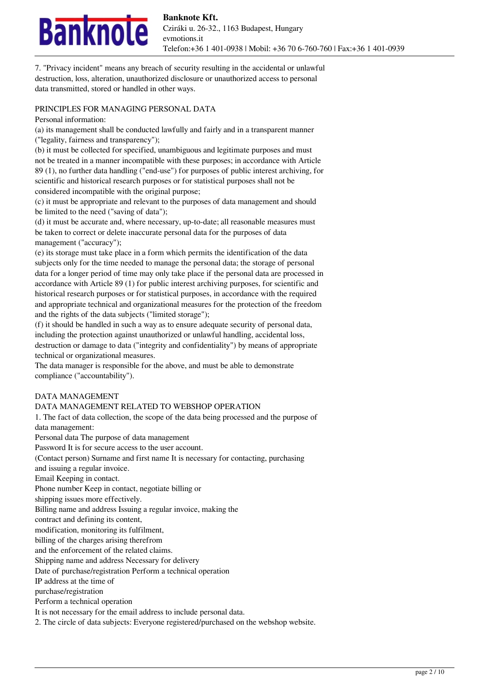

7. "Privacy incident" means any breach of security resulting in the accidental or unlawful destruction, loss, alteration, unauthorized disclosure or unauthorized access to personal data transmitted, stored or handled in other ways.

#### PRINCIPLES FOR MANAGING PERSONAL DATA

Personal information:

(a) its management shall be conducted lawfully and fairly and in a transparent manner ("legality, fairness and transparency");

(b) it must be collected for specified, unambiguous and legitimate purposes and must not be treated in a manner incompatible with these purposes; in accordance with Article 89 (1), no further data handling ("end-use") for purposes of public interest archiving, for scientific and historical research purposes or for statistical purposes shall not be considered incompatible with the original purpose;

(c) it must be appropriate and relevant to the purposes of data management and should be limited to the need ("saving of data");

(d) it must be accurate and, where necessary, up-to-date; all reasonable measures must be taken to correct or delete inaccurate personal data for the purposes of data management ("accuracy");

(e) its storage must take place in a form which permits the identification of the data subjects only for the time needed to manage the personal data; the storage of personal data for a longer period of time may only take place if the personal data are processed in accordance with Article 89 (1) for public interest archiving purposes, for scientific and historical research purposes or for statistical purposes, in accordance with the required and appropriate technical and organizational measures for the protection of the freedom and the rights of the data subjects ("limited storage");

(f) it should be handled in such a way as to ensure adequate security of personal data, including the protection against unauthorized or unlawful handling, accidental loss, destruction or damage to data ("integrity and confidentiality") by means of appropriate technical or organizational measures.

The data manager is responsible for the above, and must be able to demonstrate compliance ("accountability").

#### DATA MANAGEMENT

# DATA MANAGEMENT RELATED TO WEBSHOP OPERATION

1. The fact of data collection, the scope of the data being processed and the purpose of data management:

Personal data The purpose of data management Password It is for secure access to the user account.

(Contact person) Surname and first name It is necessary for contacting, purchasing

and issuing a regular invoice.

Email Keeping in contact.

Phone number Keep in contact, negotiate billing or

shipping issues more effectively.

Billing name and address Issuing a regular invoice, making the

contract and defining its content,

modification, monitoring its fulfilment,

billing of the charges arising therefrom

and the enforcement of the related claims.

Shipping name and address Necessary for delivery

Date of purchase/registration Perform a technical operation

IP address at the time of

purchase/registration

Perform a technical operation

It is not necessary for the email address to include personal data.

2. The circle of data subjects: Everyone registered/purchased on the webshop website.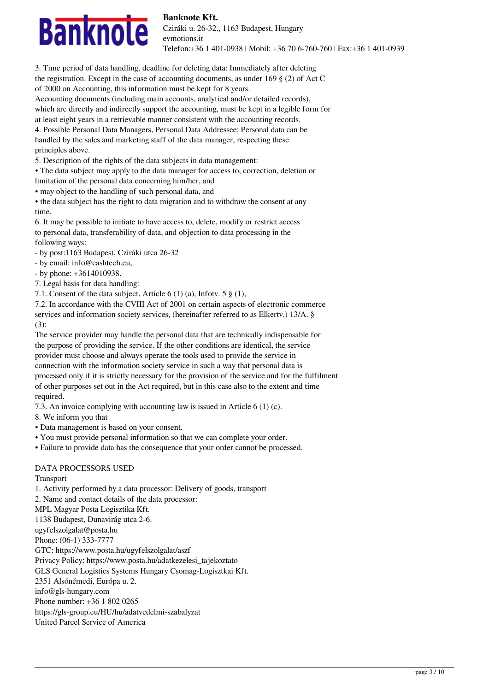

Telefon:+36 1 401-0938 | Mobil: +36 70 6-760-760 | Fax:+36 1 401-0939

3. Time period of data handling, deadline for deleting data: Immediately after deleting the registration. Except in the case of accounting documents, as under 169  $\S$  (2) of Act C of 2000 on Accounting, this information must be kept for 8 years.

Accounting documents (including main accounts, analytical and/or detailed records), which are directly and indirectly support the accounting, must be kept in a legible form for at least eight years in a retrievable manner consistent with the accounting records.

4. Possible Personal Data Managers, Personal Data Addressee: Personal data can be handled by the sales and marketing staff of the data manager, respecting these principles above.

5. Description of the rights of the data subjects in data management:

• The data subject may apply to the data manager for access to, correction, deletion or

limitation of the personal data concerning him/her, and

• may object to the handling of such personal data, and

• the data subject has the right to data migration and to withdraw the consent at any time.

6. It may be possible to initiate to have access to, delete, modify or restrict access to personal data, transferability of data, and objection to data processing in the following ways:

- by post:1163 Budapest, Cziráki utca 26-32

- by email: info@cashtech.eu,

- by phone: +3614010938.

7. Legal basis for data handling:

7.1. Consent of the data subject, Article 6 (1) (a), Infotv. 5 § (1),

7.2. In accordance with the CVIII Act of 2001 on certain aspects of electronic commerce services and information society services, (hereinafter referred to as Elkertv.) 13/A. §

(3):

The service provider may handle the personal data that are technically indispensable for the purpose of providing the service. If the other conditions are identical, the service provider must choose and always operate the tools used to provide the service in connection with the information society service in such a way that personal data is processed only if it is strictly necessary for the provision of the service and for the fulfilment of other purposes set out in the Act required, but in this case also to the extent and time required.

7.3. An invoice complying with accounting law is issued in Article 6 (1) (c).

8. We inform you that

- Data management is based on your consent.
- You must provide personal information so that we can complete your order.
- Failure to provide data has the consequence that your order cannot be processed.

# DATA PROCESSORS USED

Transport

1. Activity performed by a data processor: Delivery of goods, transport 2. Name and contact details of the data processor: MPL Magyar Posta Logisztika Kft. 1138 Budapest, Dunavirág utca 2-6. ugyfelszolgalat@posta.hu Phone: (06-1) 333-7777 GTC: https://www.posta.hu/ugyfelszolgalat/aszf Privacy Policy: https://www.posta.hu/adatkezelesi\_tajekoztato GLS General Logistics Systems Hungary Csomag-Logisztkai Kft. 2351 Alsónémedi, Európa u. 2. info@gls-hungary.com Phone number: +36 1 802 0265 https://gls-group.eu/HU/hu/adatvedelmi-szabalyzat United Parcel Service of America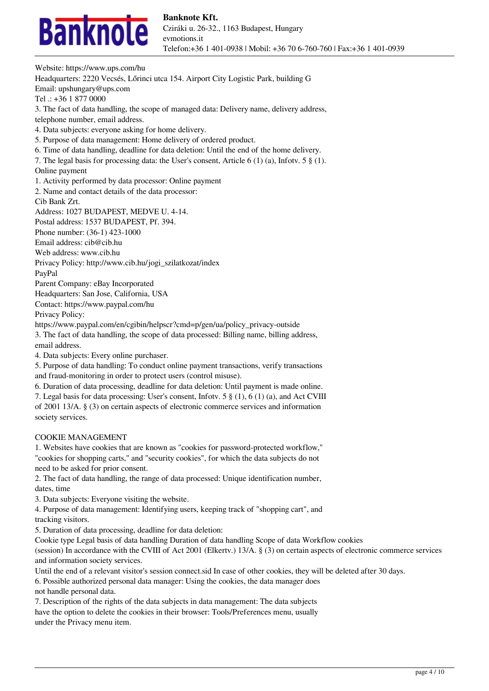

Website: https://www.ups.com/hu Headquarters: 2220 Vecsés, Lőrinci utca 154. Airport City Logistic Park, building G Email: upshungary@ups.com Tel .: +36 1 877 0000 3. The fact of data handling, the scope of managed data: Delivery name, delivery address, telephone number, email address. 4. Data subjects: everyone asking for home delivery. 5. Purpose of data management: Home delivery of ordered product. 6. Time of data handling, deadline for data deletion: Until the end of the home delivery. 7. The legal basis for processing data: the User's consent, Article 6 (1) (a), Infotv. 5 § (1). Online payment 1. Activity performed by data processor: Online payment 2. Name and contact details of the data processor: Cib Bank Zrt. Address: 1027 BUDAPEST, MEDVE U. 4-14. Postal address: 1537 BUDAPEST, Pf. 394. Phone number: (36-1) 423-1000 Email address: cib@cib.hu Web address: www.cib.hu Privacy Policy: http://www.cib.hu/jogi\_szilatkozat/index PayPal Parent Company: eBay Incorporated Headquarters: San Jose, California, USA Contact: https://www.paypal.com/hu Privacy Policy: https://www.paypal.com/en/cgibin/helpscr?cmd=p/gen/ua/policy\_privacy-outside 3. The fact of data handling, the scope of data processed: Billing name, billing address, email address. 4. Data subjects: Every online purchaser. 5. Purpose of data handling: To conduct online payment transactions, verify transactions and fraud-monitoring in order to protect users (control misuse). 6. Duration of data processing, deadline for data deletion: Until payment is made online. 7. Legal basis for data processing: User's consent, Infotv. 5 § (1), 6 (1) (a), and Act CVIII of 2001 13/A. § (3) on certain aspects of electronic commerce services and information society services.

#### COOKIE MANAGEMENT

1. Websites have cookies that are known as "cookies for password-protected workflow," "cookies for shopping carts," and "security cookies", for which the data subjects do not need to be asked for prior consent.

2. The fact of data handling, the range of data processed: Unique identification number, dates, time

3. Data subjects: Everyone visiting the website.

4. Purpose of data management: Identifying users, keeping track of "shopping cart", and tracking visitors.

5. Duration of data processing, deadline for data deletion:

Cookie type Legal basis of data handling Duration of data handling Scope of data Workflow cookies

(session) In accordance with the CVIII of Act 2001 (Elkertv.) 13/A. § (3) on certain aspects of electronic commerce services and information society services.

Until the end of a relevant visitor's session connect.sid In case of other cookies, they will be deleted after 30 days.

6. Possible authorized personal data manager: Using the cookies, the data manager does not handle personal data.

7. Description of the rights of the data subjects in data management: The data subjects have the option to delete the cookies in their browser: Tools/Preferences menu, usually under the Privacy menu item.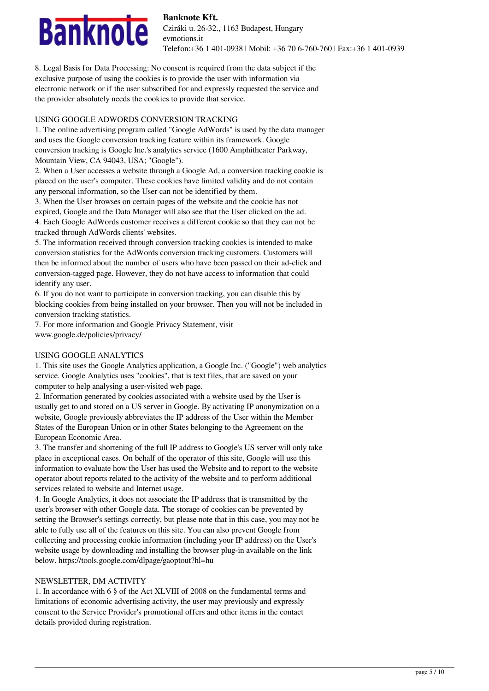# nknole

8. Legal Basis for Data Processing: No consent is required from the data subject if the exclusive purpose of using the cookies is to provide the user with information via electronic network or if the user subscribed for and expressly requested the service and the provider absolutely needs the cookies to provide that service.

### USING GOOGLE ADWORDS CONVERSION TRACKING

1. The online advertising program called "Google AdWords" is used by the data manager and uses the Google conversion tracking feature within its framework. Google conversion tracking is Google Inc.'s analytics service (1600 Amphitheater Parkway, Mountain View, CA 94043, USA; "Google").

2. When a User accesses a website through a Google Ad, a conversion tracking cookie is placed on the user's computer. These cookies have limited validity and do not contain any personal information, so the User can not be identified by them.

3. When the User browses on certain pages of the website and the cookie has not expired, Google and the Data Manager will also see that the User clicked on the ad. 4. Each Google AdWords customer receives a different cookie so that they can not be tracked through AdWords clients' websites.

5. The information received through conversion tracking cookies is intended to make conversion statistics for the AdWords conversion tracking customers. Customers will then be informed about the number of users who have been passed on their ad-click and conversion-tagged page. However, they do not have access to information that could identify any user.

6. If you do not want to participate in conversion tracking, you can disable this by blocking cookies from being installed on your browser. Then you will not be included in conversion tracking statistics.

7. For more information and Google Privacy Statement, visit www.google.de/policies/privacy/

# USING GOOGLE ANALYTICS

1. This site uses the Google Analytics application, a Google Inc. ("Google") web analytics service. Google Analytics uses "cookies", that is text files, that are saved on your computer to help analysing a user-visited web page.

2. Information generated by cookies associated with a website used by the User is usually get to and stored on a US server in Google. By activating IP anonymization on a website, Google previously abbreviates the IP address of the User within the Member States of the European Union or in other States belonging to the Agreement on the European Economic Area.

3. The transfer and shortening of the full IP address to Google's US server will only take place in exceptional cases. On behalf of the operator of this site, Google will use this information to evaluate how the User has used the Website and to report to the website operator about reports related to the activity of the website and to perform additional services related to website and Internet usage.

4. In Google Analytics, it does not associate the IP address that is transmitted by the user's browser with other Google data. The storage of cookies can be prevented by setting the Browser's settings correctly, but please note that in this case, you may not be able to fully use all of the features on this site. You can also prevent Google from collecting and processing cookie information (including your IP address) on the User's website usage by downloading and installing the browser plug-in available on the link below. https://tools.google.com/dlpage/gaoptout?hl=hu

# NEWSLETTER, DM ACTIVITY

1. In accordance with 6 § of the Act XLVIII of 2008 on the fundamental terms and limitations of economic advertising activity, the user may previously and expressly consent to the Service Provider's promotional offers and other items in the contact details provided during registration.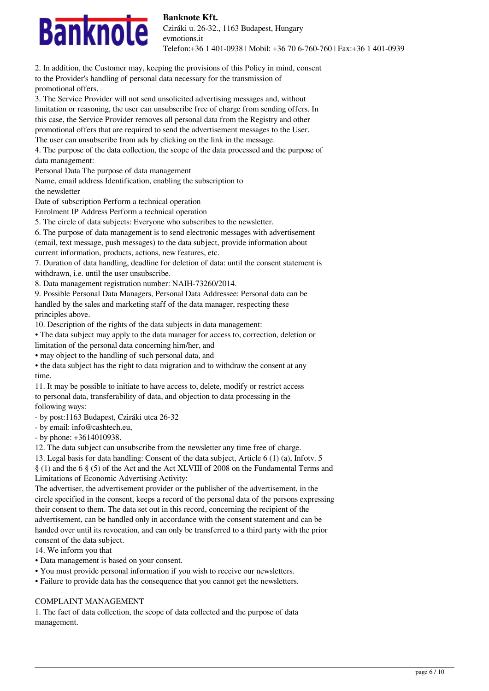# nknole

promotional offers.

3. The Service Provider will not send unsolicited advertising messages and, without limitation or reasoning, the user can unsubscribe free of charge from sending offers. In this case, the Service Provider removes all personal data from the Registry and other promotional offers that are required to send the advertisement messages to the User. The user can unsubscribe from ads by clicking on the link in the message. 4. The purpose of the data collection, the scope of the data processed and the purpose of data management: Personal Data The purpose of data management Name, email address Identification, enabling the subscription to the newsletter Date of subscription Perform a technical operation Enrolment IP Address Perform a technical operation 5. The circle of data subjects: Everyone who subscribes to the newsletter. 6. The purpose of data management is to send electronic messages with advertisement (email, text message, push messages) to the data subject, provide information about current information, products, actions, new features, etc. 7. Duration of data handling, deadline for deletion of data: until the consent statement is withdrawn, i.e. until the user unsubscribe. 8. Data management registration number: NAIH-73260/2014. 9. Possible Personal Data Managers, Personal Data Addressee: Personal data can be handled by the sales and marketing staff of the data manager, respecting these principles above. 10. Description of the rights of the data subjects in data management: • The data subject may apply to the data manager for access to, correction, deletion or limitation of the personal data concerning him/her, and • may object to the handling of such personal data, and • the data subject has the right to data migration and to withdraw the consent at any time. 11. It may be possible to initiate to have access to, delete, modify or restrict access to personal data, transferability of data, and objection to data processing in the following ways: - by post:1163 Budapest, Cziráki utca 26-32 - by email: info@cashtech.eu, - by phone: +3614010938. 12. The data subject can unsubscribe from the newsletter any time free of charge. 13. Legal basis for data handling: Consent of the data subject, Article 6 (1) (a), Infotv. 5 § (1) and the 6 § (5) of the Act and the Act XLVIII of 2008 on the Fundamental Terms and Limitations of Economic Advertising Activity: The advertiser, the advertisement provider or the publisher of the advertisement, in the circle specified in the consent, keeps a record of the personal data of the persons expressing their consent to them. The data set out in this record, concerning the recipient of the advertisement, can be handled only in accordance with the consent statement and can be handed over until its revocation, and can only be transferred to a third party with the prior

2. In addition, the Customer may, keeping the provisions of this Policy in mind, consent

to the Provider's handling of personal data necessary for the transmission of

consent of the data subject.

14. We inform you that

- Data management is based on your consent.
- You must provide personal information if you wish to receive our newsletters.
- Failure to provide data has the consequence that you cannot get the newsletters.

#### COMPLAINT MANAGEMENT

1. The fact of data collection, the scope of data collected and the purpose of data management.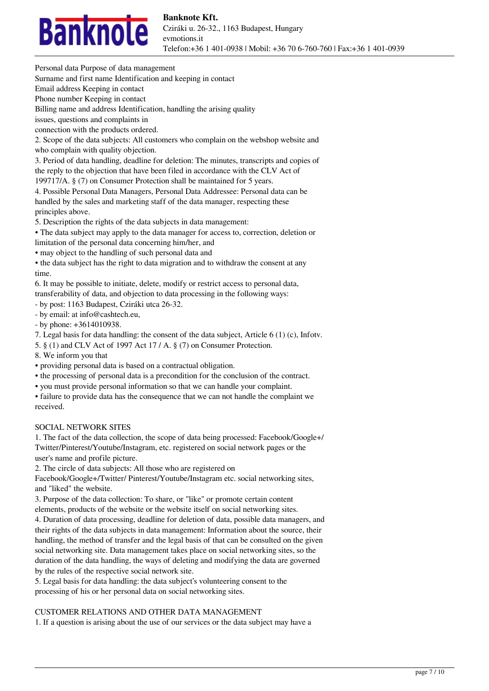

Personal data Purpose of data management

Surname and first name Identification and keeping in contact

Email address Keeping in contact

Phone number Keeping in contact

Billing name and address Identification, handling the arising quality

issues, questions and complaints in

connection with the products ordered.

2. Scope of the data subjects: All customers who complain on the webshop website and who complain with quality objection.

3. Period of data handling, deadline for deletion: The minutes, transcripts and copies of the reply to the objection that have been filed in accordance with the CLV Act of

199717/A. § (7) on Consumer Protection shall be maintained for 5 years.

4. Possible Personal Data Managers, Personal Data Addressee: Personal data can be handled by the sales and marketing staff of the data manager, respecting these principles above.

5. Description the rights of the data subjects in data management:

• The data subject may apply to the data manager for access to, correction, deletion or

limitation of the personal data concerning him/her, and

• may object to the handling of such personal data and

• the data subject has the right to data migration and to withdraw the consent at any time.

6. It may be possible to initiate, delete, modify or restrict access to personal data, transferability of data, and objection to data processing in the following ways:

- by post: 1163 Budapest, Cziráki utca 26-32.

- by email: at info@cashtech.eu,

- by phone: +3614010938.

7. Legal basis for data handling: the consent of the data subject, Article 6 (1) (c), Infotv.

5. § (1) and CLV Act of 1997 Act 17 / A. § (7) on Consumer Protection.

8. We inform you that

• providing personal data is based on a contractual obligation.

• the processing of personal data is a precondition for the conclusion of the contract.

• you must provide personal information so that we can handle your complaint.

• failure to provide data has the consequence that we can not handle the complaint we received.

# SOCIAL NETWORK SITES

1. The fact of the data collection, the scope of data being processed: Facebook/Google+/ Twitter/Pinterest/Youtube/Instagram, etc. registered on social network pages or the user's name and profile picture.

2. The circle of data subjects: All those who are registered on

Facebook/Google+/Twitter/ Pinterest/Youtube/Instagram etc. social networking sites, and "liked" the website.

3. Purpose of the data collection: To share, or "like" or promote certain content elements, products of the website or the website itself on social networking sites.

4. Duration of data processing, deadline for deletion of data, possible data managers, and their rights of the data subjects in data management: Information about the source, their handling, the method of transfer and the legal basis of that can be consulted on the given social networking site. Data management takes place on social networking sites, so the duration of the data handling, the ways of deleting and modifying the data are governed by the rules of the respective social network site.

5. Legal basis for data handling: the data subject's volunteering consent to the processing of his or her personal data on social networking sites.

# CUSTOMER RELATIONS AND OTHER DATA MANAGEMENT

1. If a question is arising about the use of our services or the data subject may have a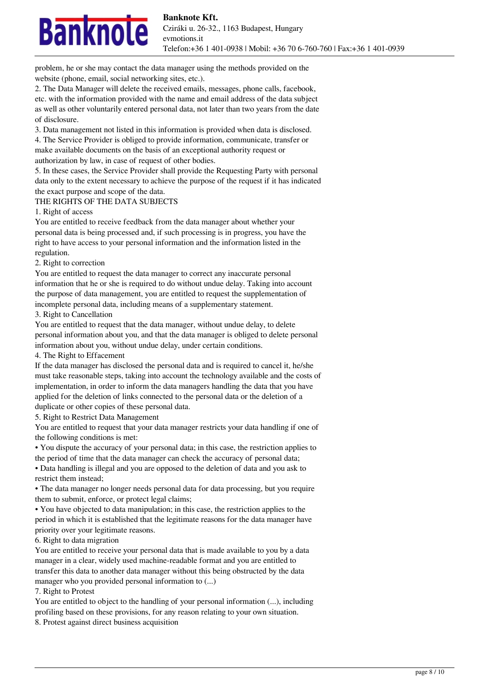

problem, he or she may contact the data manager using the methods provided on the website (phone, email, social networking sites, etc.).

2. The Data Manager will delete the received emails, messages, phone calls, facebook, etc. with the information provided with the name and email address of the data subject as well as other voluntarily entered personal data, not later than two years from the date of disclosure.

3. Data management not listed in this information is provided when data is disclosed. 4. The Service Provider is obliged to provide information, communicate, transfer or make available documents on the basis of an exceptional authority request or authorization by law, in case of request of other bodies.

5. In these cases, the Service Provider shall provide the Requesting Party with personal data only to the extent necessary to achieve the purpose of the request if it has indicated the exact purpose and scope of the data.

#### THE RIGHTS OF THE DATA SUBJECTS

1. Right of access

You are entitled to receive feedback from the data manager about whether your personal data is being processed and, if such processing is in progress, you have the right to have access to your personal information and the information listed in the regulation.

#### 2. Right to correction

You are entitled to request the data manager to correct any inaccurate personal information that he or she is required to do without undue delay. Taking into account the purpose of data management, you are entitled to request the supplementation of incomplete personal data, including means of a supplementary statement.

3. Right to Cancellation

You are entitled to request that the data manager, without undue delay, to delete personal information about you, and that the data manager is obliged to delete personal information about you, without undue delay, under certain conditions.

4. The Right to Effacement

If the data manager has disclosed the personal data and is required to cancel it, he/she must take reasonable steps, taking into account the technology available and the costs of implementation, in order to inform the data managers handling the data that you have applied for the deletion of links connected to the personal data or the deletion of a duplicate or other copies of these personal data.

5. Right to Restrict Data Management

You are entitled to request that your data manager restricts your data handling if one of the following conditions is met:

• You dispute the accuracy of your personal data; in this case, the restriction applies to the period of time that the data manager can check the accuracy of personal data;

• Data handling is illegal and you are opposed to the deletion of data and you ask to restrict them instead;

• The data manager no longer needs personal data for data processing, but you require them to submit, enforce, or protect legal claims;

• You have objected to data manipulation; in this case, the restriction applies to the period in which it is established that the legitimate reasons for the data manager have priority over your legitimate reasons.

6. Right to data migration

You are entitled to receive your personal data that is made available to you by a data manager in a clear, widely used machine-readable format and you are entitled to transfer this data to another data manager without this being obstructed by the data manager who you provided personal information to (...)

7. Right to Protest

You are entitled to object to the handling of your personal information  $(...)$ , including profiling based on these provisions, for any reason relating to your own situation.

8. Protest against direct business acquisition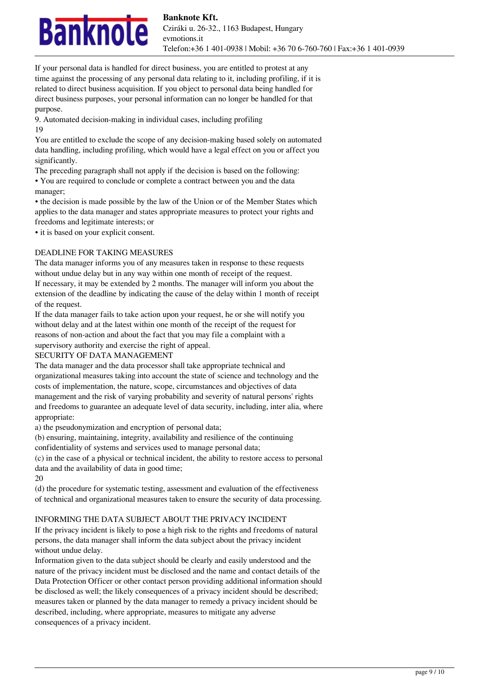

If your personal data is handled for direct business, you are entitled to protest at any time against the processing of any personal data relating to it, including profiling, if it is related to direct business acquisition. If you object to personal data being handled for direct business purposes, your personal information can no longer be handled for that purpose.

9. Automated decision-making in individual cases, including profiling 19

You are entitled to exclude the scope of any decision-making based solely on automated data handling, including profiling, which would have a legal effect on you or affect you significantly.

The preceding paragraph shall not apply if the decision is based on the following: • You are required to conclude or complete a contract between you and the data manager;

• the decision is made possible by the law of the Union or of the Member States which applies to the data manager and states appropriate measures to protect your rights and freedoms and legitimate interests; or

• it is based on your explicit consent.

# DEADLINE FOR TAKING MEASURES

The data manager informs you of any measures taken in response to these requests without undue delay but in any way within one month of receipt of the request. If necessary, it may be extended by 2 months. The manager will inform you about the extension of the deadline by indicating the cause of the delay within 1 month of receipt of the request.

If the data manager fails to take action upon your request, he or she will notify you without delay and at the latest within one month of the receipt of the request for reasons of non-action and about the fact that you may file a complaint with a supervisory authority and exercise the right of appeal.

# SECURITY OF DATA MANAGEMENT

The data manager and the data processor shall take appropriate technical and organizational measures taking into account the state of science and technology and the costs of implementation, the nature, scope, circumstances and objectives of data management and the risk of varying probability and severity of natural persons' rights and freedoms to guarantee an adequate level of data security, including, inter alia, where appropriate:

a) the pseudonymization and encryption of personal data;

(b) ensuring, maintaining, integrity, availability and resilience of the continuing

confidentiality of systems and services used to manage personal data;

(c) in the case of a physical or technical incident, the ability to restore access to personal data and the availability of data in good time;

20

(d) the procedure for systematic testing, assessment and evaluation of the effectiveness of technical and organizational measures taken to ensure the security of data processing.

# INFORMING THE DATA SUBJECT ABOUT THE PRIVACY INCIDENT

If the privacy incident is likely to pose a high risk to the rights and freedoms of natural persons, the data manager shall inform the data subject about the privacy incident without undue delay.

Information given to the data subject should be clearly and easily understood and the nature of the privacy incident must be disclosed and the name and contact details of the Data Protection Officer or other contact person providing additional information should be disclosed as well; the likely consequences of a privacy incident should be described; measures taken or planned by the data manager to remedy a privacy incident should be described, including, where appropriate, measures to mitigate any adverse consequences of a privacy incident.